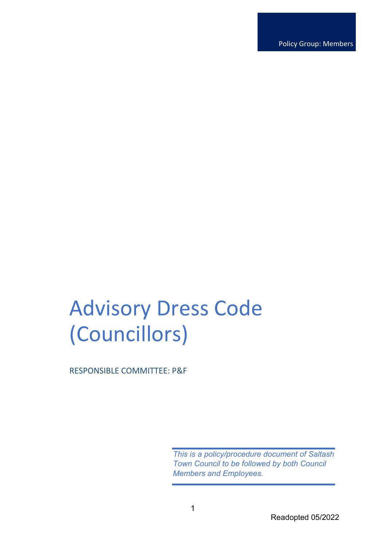Policy Group: Members

# Advisory Dress Code (Councillors)

RESPONSIBLE COMMITTEE: P&F

*This is a policy/procedure document of Saltash Town Council to be followed by both Council Members and Employees.*

Readopted 05/2022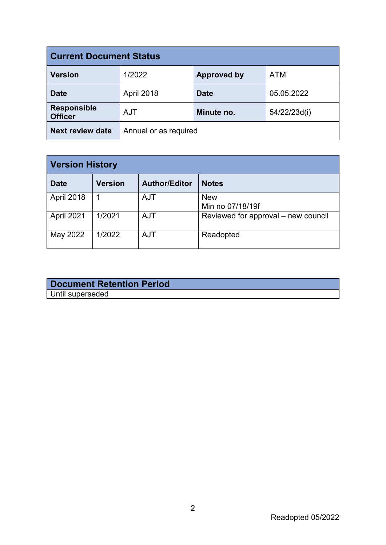| <b>Current Document Status</b>       |                       |                    |              |  |
|--------------------------------------|-----------------------|--------------------|--------------|--|
| <b>Version</b>                       | 1/2022                | <b>Approved by</b> | <b>ATM</b>   |  |
| <b>Date</b>                          | April 2018            | <b>Date</b>        | 05.05.2022   |  |
| <b>Responsible</b><br><b>Officer</b> | <b>AJT</b>            | Minute no.         | 54/22/23d(i) |  |
| <b>Next review date</b>              | Annual or as required |                    |              |  |

| <b>Version History</b> |                |                      |                                     |  |
|------------------------|----------------|----------------------|-------------------------------------|--|
| <b>Date</b>            | <b>Version</b> | <b>Author/Editor</b> | <b>Notes</b>                        |  |
| April 2018             |                | <b>AJT</b>           | <b>New</b><br>Min no 07/18/19f      |  |
| April 2021             | 1/2021         | <b>AJT</b>           | Reviewed for approval – new council |  |
| May 2022               | 1/2022         | <b>AJT</b>           | Readopted                           |  |

## **Document Retention Period** Until superseded